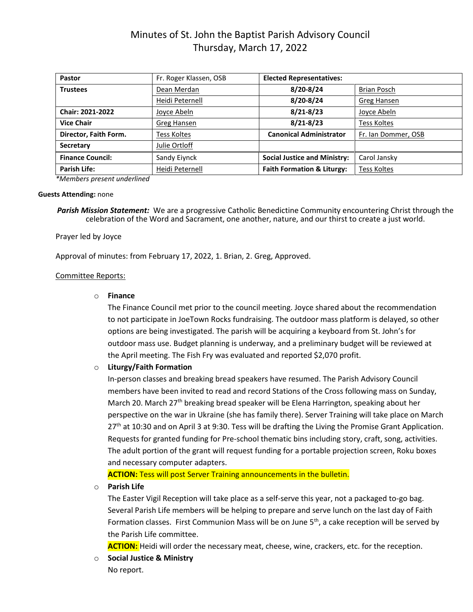# Minutes of St. John the Baptist Parish Advisory Council Thursday, March 17, 2022

| <b>Pastor</b>           | Fr. Roger Klassen, OSB | <b>Elected Representatives:</b>       |                     |
|-------------------------|------------------------|---------------------------------------|---------------------|
| <b>Trustees</b>         | Dean Merdan            | 8/20-8/24                             | Brian Posch         |
|                         | Heidi Peternell        | 8/20-8/24                             | Greg Hansen         |
| <b>Chair: 2021-2022</b> | Joyce Abeln            | $8/21 - 8/23$                         | Joyce Abeln         |
| <b>Vice Chair</b>       | Greg Hansen            | $8/21 - 8/23$                         | <b>Tess Koltes</b>  |
| Director, Faith Form.   | Tess Koltes            | <b>Canonical Administrator</b>        | Fr. Ian Dommer, OSB |
| <b>Secretary</b>        | Julie Ortloff          |                                       |                     |
| <b>Finance Council:</b> | Sandy Eiynck           | <b>Social Justice and Ministry:</b>   | Carol Jansky        |
| Parish Life:            | Heidi Peternell        | <b>Faith Formation &amp; Liturgy:</b> | <b>Tess Koltes</b>  |

*\*Members present underlined*

#### **Guests Attending:** none

*Parish Mission Statement:* We are a progressive Catholic Benedictine Community encountering Christ through the celebration of the Word and Sacrament, one another, nature, and our thirst to create a just world.

### Prayer led by Joyce

Approval of minutes: from February 17, 2022, 1. Brian, 2. Greg, Approved.

## Committee Reports:

### o **Finance**

The Finance Council met prior to the council meeting. Joyce shared about the recommendation to not participate in JoeTown Rocks fundraising. The outdoor mass platform is delayed, so other options are being investigated. The parish will be acquiring a keyboard from St. John's for outdoor mass use. Budget planning is underway, and a preliminary budget will be reviewed at the April meeting. The Fish Fry was evaluated and reported \$2,070 profit.

## o **Liturgy/Faith Formation**

In-person classes and breaking bread speakers have resumed. The Parish Advisory Council members have been invited to read and record Stations of the Cross following mass on Sunday, March 20. March 27<sup>th</sup> breaking bread speaker will be Elena Harrington, speaking about her perspective on the war in Ukraine (she has family there). Server Training will take place on March 27<sup>th</sup> at 10:30 and on April 3 at 9:30. Tess will be drafting the Living the Promise Grant Application. Requests for granted funding for Pre-school thematic bins including story, craft, song, activities. The adult portion of the grant will request funding for a portable projection screen, Roku boxes and necessary computer adapters.

**ACTION:** Tess will post Server Training announcements in the bulletin.

## o **Parish Life**

The Easter Vigil Reception will take place as a self-serve this year, not a packaged to-go bag. Several Parish Life members will be helping to prepare and serve lunch on the last day of Faith Formation classes. First Communion Mass will be on June 5<sup>th</sup>, a cake reception will be served by the Parish Life committee.

**ACTION:** Heidi will order the necessary meat, cheese, wine, crackers, etc. for the reception.

o **Social Justice & Ministry**  No report.